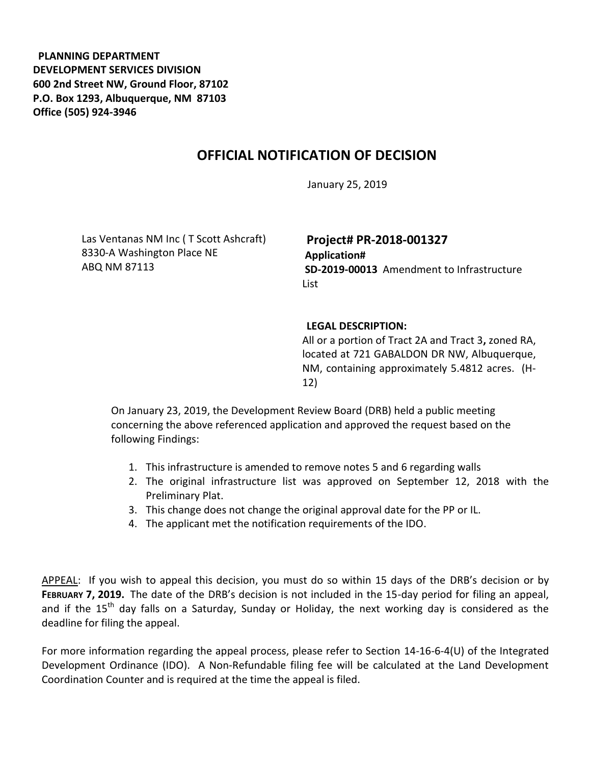**PLANNING DEPARTMENT DEVELOPMENT SERVICES DIVISION 600 2nd Street NW, Ground Floor, 87102 P.O. Box 1293, Albuquerque, NM 87103 Office (505) 924-3946** 

## **OFFICIAL NOTIFICATION OF DECISION**

January 25, 2019

Las Ventanas NM Inc ( T Scott Ashcraft) 8330-A Washington Place NE ABQ NM 87113

**Project# PR-2018-001327 Application# SD-2019-00013** Amendment to Infrastructure List

## **LEGAL DESCRIPTION:**

All or a portion of Tract 2A and Tract 3**,** zoned RA, located at 721 GABALDON DR NW, Albuquerque, NM, containing approximately 5.4812 acres. (H-12)

On January 23, 2019, the Development Review Board (DRB) held a public meeting concerning the above referenced application and approved the request based on the following Findings:

- 1. This infrastructure is amended to remove notes 5 and 6 regarding walls
- 2. The original infrastructure list was approved on September 12, 2018 with the Preliminary Plat.
- 3. This change does not change the original approval date for the PP or IL.
- 4. The applicant met the notification requirements of the IDO.

APPEAL: If you wish to appeal this decision, you must do so within 15 days of the DRB's decision or by **FEBRUARY 7, 2019.** The date of the DRB's decision is not included in the 15-day period for filing an appeal, and if the 15<sup>th</sup> day falls on a Saturday, Sunday or Holiday, the next working day is considered as the deadline for filing the appeal.

For more information regarding the appeal process, please refer to Section 14-16-6-4(U) of the Integrated Development Ordinance (IDO). A Non-Refundable filing fee will be calculated at the Land Development Coordination Counter and is required at the time the appeal is filed.